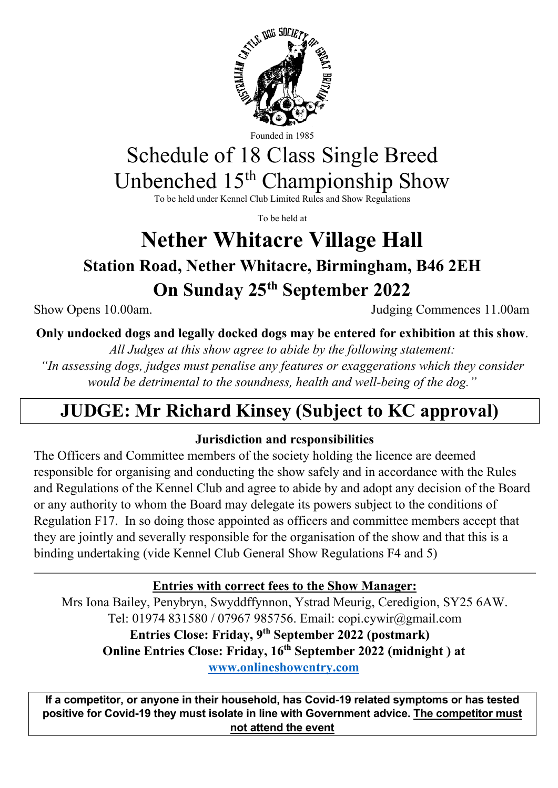

Founded in 1985

# Schedule of 18 Class Single Breed Unbenched 15th Championship Show

To be held under Kennel Club Limited Rules and Show Regulations

To be held at

# **Nether Whitacre Village Hall**

**Station Road, Nether Whitacre, Birmingham, B46 2EH On Sunday 25th September 2022** 

Show Opens 10.00am. Judging Commences 11.00am

**Only undocked dogs and legally docked dogs may be entered for exhibition at this show**.

*All Judges at this show agree to abide by the following statement:*

*"In assessing dogs, judges must penalise any features or exaggerations which they consider would be detrimental to the soundness, health and well-being of the dog."*

# **JUDGE: Mr Richard Kinsey (Subject to KC approval)**

# **Jurisdiction and responsibilities**

The Officers and Committee members of the society holding the licence are deemed responsible for organising and conducting the show safely and in accordance with the Rules and Regulations of the Kennel Club and agree to abide by and adopt any decision of the Board or any authority to whom the Board may delegate its powers subject to the conditions of Regulation F17. In so doing those appointed as officers and committee members accept that they are jointly and severally responsible for the organisation of the show and that this is a binding undertaking (vide Kennel Club General Show Regulations F4 and 5)

**Entries with correct fees to the Show Manager:** 

Mrs Iona Bailey, Penybryn, Swyddffynnon, Ystrad Meurig, Ceredigion, SY25 6AW. Tel: 01974 831580 / 07967 985756. Email: copi.cywir@gmail.com **Entries Close: Friday, 9th September 2022 (postmark) Online Entries Close: Friday, 16th September 2022 (midnight ) at [www.onlineshowentry.com](http://www.onlineshowentry.com/)**

**If a competitor, or anyone in their household, has Covid-19 related symptoms or has tested positive for Covid-19 they must isolate in line with Government advice. The competitor must not attend the event**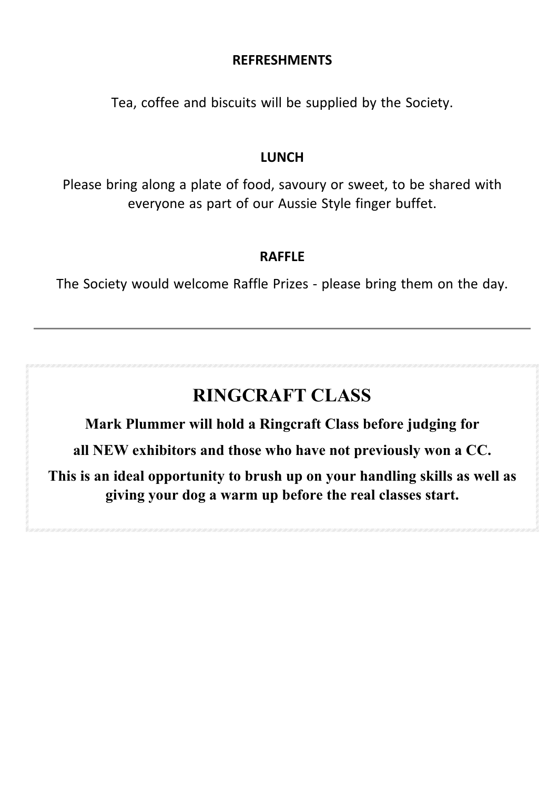## **REFRESHMENTS**

Tea, coffee and biscuits will be supplied by the Society.

#### **LUNCH**

Please bring along a plate of food, savoury or sweet, to be shared with everyone as part of our Aussie Style finger buffet.

#### **RAFFLE**

The Society would welcome Raffle Prizes - please bring them on the day.

# **RINGCRAFT CLASS**

**Mark Plummer will hold a Ringcraft Class before judging for** 

**all NEW exhibitors and those who have not previously won a CC.** 

**This is an ideal opportunity to brush up on your handling skills as well as giving your dog a warm up before the real classes start.**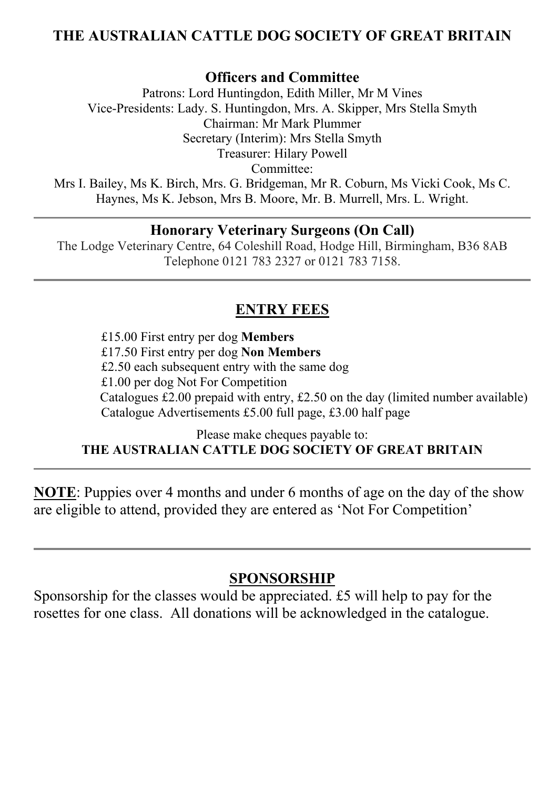# **THE AUSTRALIAN CATTLE DOG SOCIETY OF GREAT BRITAIN**

#### **Officers and Committee**

Patrons: Lord Huntingdon, Edith Miller, Mr M Vines Vice-Presidents: Lady. S. Huntingdon, Mrs. A. Skipper, Mrs Stella Smyth Chairman: Mr Mark Plummer Secretary (Interim): Mrs Stella Smyth Treasurer: Hilary Powell Committee: Mrs I. Bailey, Ms K. Birch, Mrs. G. Bridgeman, Mr R. Coburn, Ms Vicki Cook, Ms C. Haynes, Ms K. Jebson, Mrs B. Moore, Mr. B. Murrell, Mrs. L. Wright.

#### **Honorary Veterinary Surgeons (On Call)**

The Lodge Veterinary Centre, 64 Coleshill Road, Hodge Hill, Birmingham, B36 8AB Telephone 0121 783 2327 or 0121 783 7158.

# **ENTRY FEES**

 £15.00 First entry per dog **Members** £17.50 First entry per dog **Non Members** £2.50 each subsequent entry with the same dog £1.00 per dog Not For Competition Catalogues £2.00 prepaid with entry, £2.50 on the day (limited number available) Catalogue Advertisements £5.00 full page, £3.00 half page

Please make cheques payable to:

#### **THE AUSTRALIAN CATTLE DOG SOCIETY OF GREAT BRITAIN**

**NOTE**: Puppies over 4 months and under 6 months of age on the day of the show are eligible to attend, provided they are entered as 'Not For Competition'

# **SPONSORSHIP**

Sponsorship for the classes would be appreciated. £5 will help to pay for the rosettes for one class. All donations will be acknowledged in the catalogue.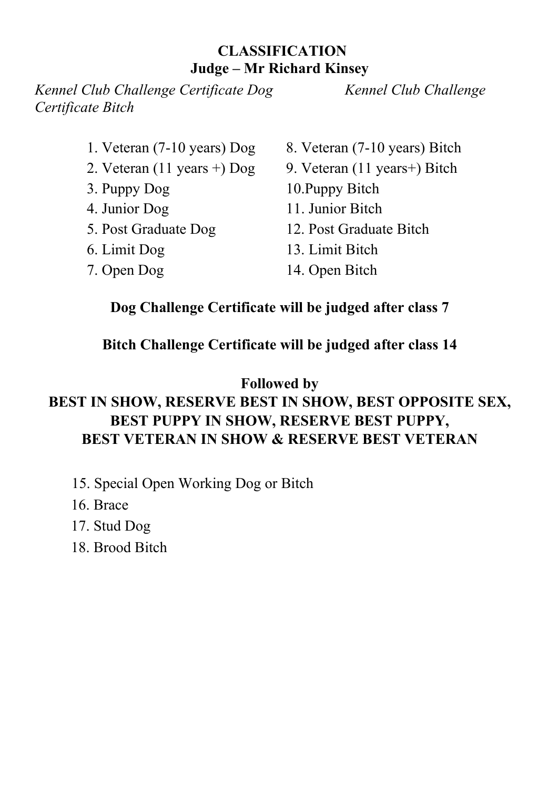# **CLASSIFICATION Judge – Mr Richard Kinsey**

*Kennel Club Challenge Certificate Dog Kennel Club Challenge Certificate Bitch*

- 
- 
- 
- 
- 
- 
- 
- 1. Veteran (7-10 years) Dog 8. Veteran (7-10 years) Bitch
- 2. Veteran  $(11 \text{ years} +) \text{ Dog}$  9. Veteran  $(11 \text{ years} +) \text{ Bitch}$
- 3. Puppy Dog 10.Puppy Bitch
- 4. Junior Dog 11. Junior Bitch
- 5. Post Graduate Dog 12. Post Graduate Bitch
- 6. Limit Dog 13. Limit Bitch
- 7. Open Dog 14. Open Bitch

# **Dog Challenge Certificate will be judged after class 7**

# **Bitch Challenge Certificate will be judged after class 14**

# **Followed by**

# **BEST IN SHOW, RESERVE BEST IN SHOW, BEST OPPOSITE SEX, BEST PUPPY IN SHOW, RESERVE BEST PUPPY, BEST VETERAN IN SHOW & RESERVE BEST VETERAN**

- 15. Special Open Working Dog or Bitch
- 16. Brace
- 17. Stud Dog
- 18. Brood Bitch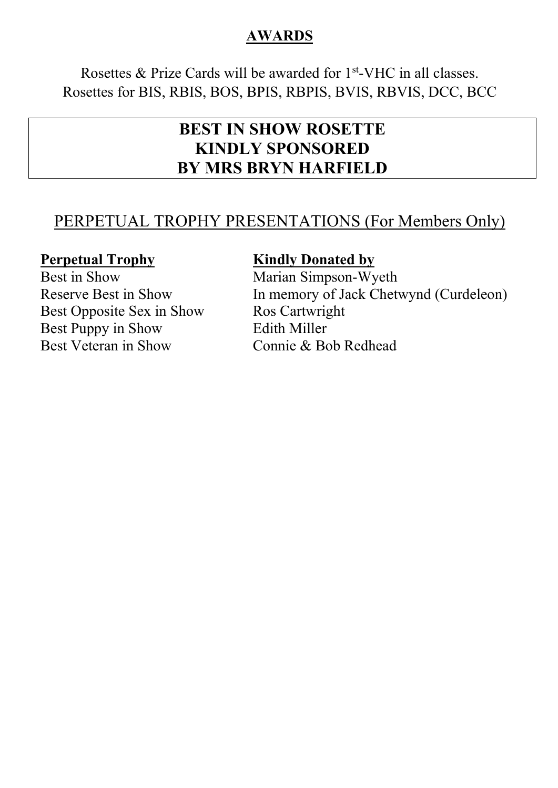# **AWARDS**

Rosettes & Prize Cards will be awarded for  $1<sup>st</sup>$ -VHC in all classes. Rosettes for BIS, RBIS, BOS, BPIS, RBPIS, BVIS, RBVIS, DCC, BCC

# **BEST IN SHOW ROSETTE KINDLY SPONSORED BY MRS BRYN HARFIELD**

# PERPETUAL TROPHY PRESENTATIONS (For Members Only)

Best Opposite Sex in Show Ros Cartwright Best Puppy in Show Edith Miller Best Veteran in Show Connie & Bob Redhead

## **Perpetual Trophy Kindly Donated by**

Best in Show Marian Simpson-Wyeth Reserve Best in Show In memory of Jack Chetwynd (Curdeleon)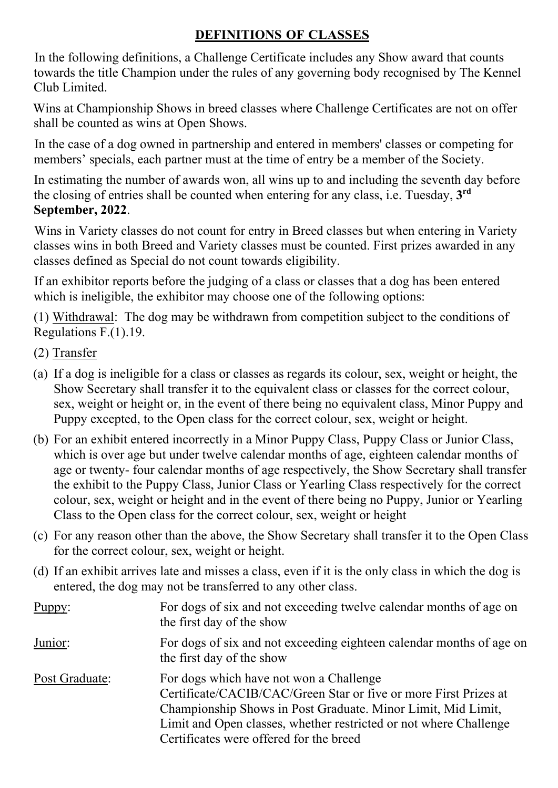# **DEFINITIONS OF CLASSES**

In the following definitions, a Challenge Certificate includes any Show award that counts towards the title Champion under the rules of any governing body recognised by The Kennel Club Limited.

Wins at Championship Shows in breed classes where Challenge Certificates are not on offer shall be counted as wins at Open Shows.

In the case of a dog owned in partnership and entered in members' classes or competing for members' specials, each partner must at the time of entry be a member of the Society.

In estimating the number of awards won, all wins up to and including the seventh day before the closing of entries shall be counted when entering for any class, i.e. Tuesday, **3rd September, 2022**.

Wins in Variety classes do not count for entry in Breed classes but when entering in Variety classes wins in both Breed and Variety classes must be counted. First prizes awarded in any classes defined as Special do not count towards eligibility.

If an exhibitor reports before the judging of a class or classes that a dog has been entered which is ineligible, the exhibitor may choose one of the following options:

(1) Withdrawal: The dog may be withdrawn from competition subject to the conditions of Regulations F.(1).19.

- (2) Transfer
- (a) If a dog is ineligible for a class or classes as regards its colour, sex, weight or height, the Show Secretary shall transfer it to the equivalent class or classes for the correct colour, sex, weight or height or, in the event of there being no equivalent class, Minor Puppy and Puppy excepted, to the Open class for the correct colour, sex, weight or height.
- (b) For an exhibit entered incorrectly in a Minor Puppy Class, Puppy Class or Junior Class, which is over age but under twelve calendar months of age, eighteen calendar months of age or twenty- four calendar months of age respectively, the Show Secretary shall transfer the exhibit to the Puppy Class, Junior Class or Yearling Class respectively for the correct colour, sex, weight or height and in the event of there being no Puppy, Junior or Yearling Class to the Open class for the correct colour, sex, weight or height
- (c) For any reason other than the above, the Show Secretary shall transfer it to the Open Class for the correct colour, sex, weight or height.
- (d) If an exhibit arrives late and misses a class, even if it is the only class in which the dog is entered, the dog may not be transferred to any other class.

| Puppy:         | For dogs of six and not exceeding twelve calendar months of age on<br>the first day of the show                                                                                                                                                                                             |
|----------------|---------------------------------------------------------------------------------------------------------------------------------------------------------------------------------------------------------------------------------------------------------------------------------------------|
| Junior:        | For dogs of six and not exceeding eighteen calendar months of age on<br>the first day of the show                                                                                                                                                                                           |
| Post Graduate: | For dogs which have not won a Challenge<br>Certificate/CACIB/CAC/Green Star or five or more First Prizes at<br>Championship Shows in Post Graduate. Minor Limit, Mid Limit,<br>Limit and Open classes, whether restricted or not where Challenge<br>Certificates were offered for the breed |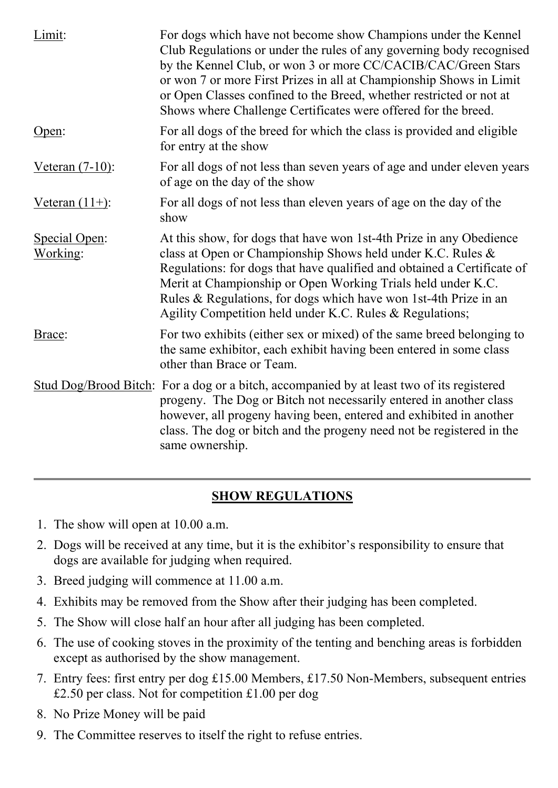| Limit:                    | For dogs which have not become show Champions under the Kennel<br>Club Regulations or under the rules of any governing body recognised<br>by the Kennel Club, or won 3 or more CC/CACIB/CAC/Green Stars<br>or won 7 or more First Prizes in all at Championship Shows in Limit<br>or Open Classes confined to the Breed, whether restricted or not at<br>Shows where Challenge Certificates were offered for the breed. |
|---------------------------|-------------------------------------------------------------------------------------------------------------------------------------------------------------------------------------------------------------------------------------------------------------------------------------------------------------------------------------------------------------------------------------------------------------------------|
| Open:                     | For all dogs of the breed for which the class is provided and eligible<br>for entry at the show                                                                                                                                                                                                                                                                                                                         |
| <u>Veteran (7-10)</u> :   | For all dogs of not less than seven years of age and under eleven years<br>of age on the day of the show                                                                                                                                                                                                                                                                                                                |
| Veteran $(11+)$ :         | For all dogs of not less than eleven years of age on the day of the<br>show                                                                                                                                                                                                                                                                                                                                             |
| Special Open:<br>Working: | At this show, for dogs that have won 1st-4th Prize in any Obedience<br>class at Open or Championship Shows held under K.C. Rules &<br>Regulations: for dogs that have qualified and obtained a Certificate of<br>Merit at Championship or Open Working Trials held under K.C.<br>Rules & Regulations, for dogs which have won 1st-4th Prize in an<br>Agility Competition held under K.C. Rules & Regulations;           |
| Brace:                    | For two exhibits (either sex or mixed) of the same breed belonging to<br>the same exhibitor, each exhibit having been entered in some class<br>other than Brace or Team.                                                                                                                                                                                                                                                |
|                           | Stud Dog/Brood Bitch: For a dog or a bitch, accompanied by at least two of its registered<br>progeny. The Dog or Bitch not necessarily entered in another class<br>however, all progeny having been, entered and exhibited in another<br>class. The dog or bitch and the progeny need not be registered in the<br>same ownership.                                                                                       |

# **SHOW REGULATIONS**

- 1. The show will open at 10.00 a.m.
- 2. Dogs will be received at any time, but it is the exhibitor's responsibility to ensure that dogs are available for judging when required.
- 3. Breed judging will commence at 11.00 a.m.
- 4. Exhibits may be removed from the Show after their judging has been completed.
- 5. The Show will close half an hour after all judging has been completed.
- 6. The use of cooking stoves in the proximity of the tenting and benching areas is forbidden except as authorised by the show management.
- 7. Entry fees: first entry per dog £15.00 Members, £17.50 Non-Members, subsequent entries £2.50 per class. Not for competition £1.00 per dog
- 8. No Prize Money will be paid
- 9. The Committee reserves to itself the right to refuse entries.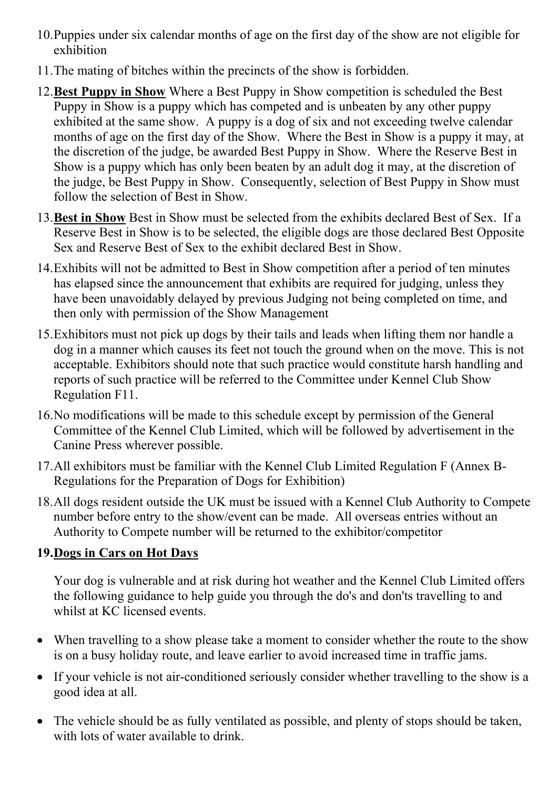- 10.Puppies under six calendar months of age on the first day of the show are not eligible for exhibition
- 11.The mating of bitches within the precincts of the show is forbidden.
- 12.**Best Puppy in Show** Where a Best Puppy in Show competition is scheduled the Best Puppy in Show is a puppy which has competed and is unbeaten by any other puppy exhibited at the same show. A puppy is a dog of six and not exceeding twelve calendar months of age on the first day of the Show. Where the Best in Show is a puppy it may, at the discretion of the judge, be awarded Best Puppy in Show. Where the Reserve Best in Show is a puppy which has only been beaten by an adult dog it may, at the discretion of the judge, be Best Puppy in Show. Consequently, selection of Best Puppy in Show must follow the selection of Best in Show.
- 13.**Best in Show** Best in Show must be selected from the exhibits declared Best of Sex. If a Reserve Best in Show is to be selected, the eligible dogs are those declared Best Opposite Sex and Reserve Best of Sex to the exhibit declared Best in Show.
- 14.Exhibits will not be admitted to Best in Show competition after a period of ten minutes has elapsed since the announcement that exhibits are required for judging, unless they have been unavoidably delayed by previous Judging not being completed on time, and then only with permission of the Show Management
- 15.Exhibitors must not pick up dogs by their tails and leads when lifting them nor handle a dog in a manner which causes its feet not touch the ground when on the move. This is not acceptable. Exhibitors should note that such practice would constitute harsh handling and reports of such practice will be referred to the Committee under Kennel Club Show Regulation F11.
- 16.No modifications will be made to this schedule except by permission of the General Committee of the Kennel Club Limited, which will be followed by advertisement in the Canine Press wherever possible.
- 17.All exhibitors must be familiar with the Kennel Club Limited Regulation F (Annex B-Regulations for the Preparation of Dogs for Exhibition)
- 18.All dogs resident outside the UK must be issued with a Kennel Club Authority to Compete number before entry to the show/event can be made. All overseas entries without an Authority to Compete number will be returned to the exhibitor/competitor

# **19.Dogs in Cars on Hot Days**

Your dog is vulnerable and at risk during hot weather and the Kennel Club Limited offers the following guidance to help guide you through the do's and don'ts travelling to and whilst at KC licensed events.

- When travelling to a show please take a moment to consider whether the route to the show is on a busy holiday route, and leave earlier to avoid increased time in traffic jams.
- If your vehicle is not air-conditioned seriously consider whether travelling to the show is a good idea at all.
- The vehicle should be as fully ventilated as possible, and plenty of stops should be taken, with lots of water available to drink.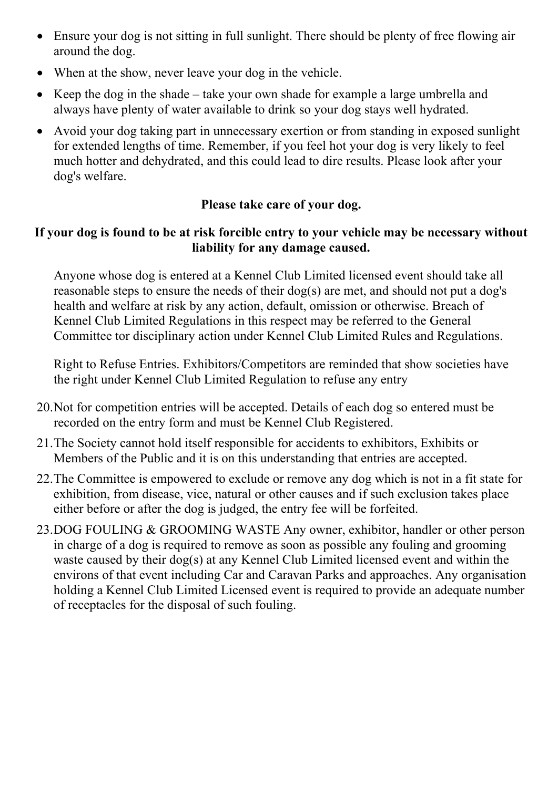- Ensure your dog is not sitting in full sunlight. There should be plenty of free flowing air around the dog.
- When at the show, never leave your dog in the vehicle.
- Keep the dog in the shade take your own shade for example a large umbrella and always have plenty of water available to drink so your dog stays well hydrated.
- Avoid your dog taking part in unnecessary exertion or from standing in exposed sunlight for extended lengths of time. Remember, if you feel hot your dog is very likely to feel much hotter and dehydrated, and this could lead to dire results. Please look after your dog's welfare.

## **Please take care of your dog.**

#### **If your dog is found to be at risk forcible entry to your vehicle may be necessary without liability for any damage caused.**

Anyone whose dog is entered at a Kennel Club Limited licensed event should take all reasonable steps to ensure the needs of their dog(s) are met, and should not put a dog's health and welfare at risk by any action, default, omission or otherwise. Breach of Kennel Club Limited Regulations in this respect may be referred to the General Committee tor disciplinary action under Kennel Club Limited Rules and Regulations.

Right to Refuse Entries. Exhibitors/Competitors are reminded that show societies have the right under Kennel Club Limited Regulation to refuse any entry

- 20.Not for competition entries will be accepted. Details of each dog so entered must be recorded on the entry form and must be Kennel Club Registered.
- 21.The Society cannot hold itself responsible for accidents to exhibitors, Exhibits or Members of the Public and it is on this understanding that entries are accepted.
- 22.The Committee is empowered to exclude or remove any dog which is not in a fit state for exhibition, from disease, vice, natural or other causes and if such exclusion takes place either before or after the dog is judged, the entry fee will be forfeited.
- 23.DOG FOULING & GROOMING WASTE Any owner, exhibitor, handler or other person in charge of a dog is required to remove as soon as possible any fouling and grooming waste caused by their dog(s) at any Kennel Club Limited licensed event and within the environs of that event including Car and Caravan Parks and approaches. Any organisation holding a Kennel Club Limited Licensed event is required to provide an adequate number of receptacles for the disposal of such fouling.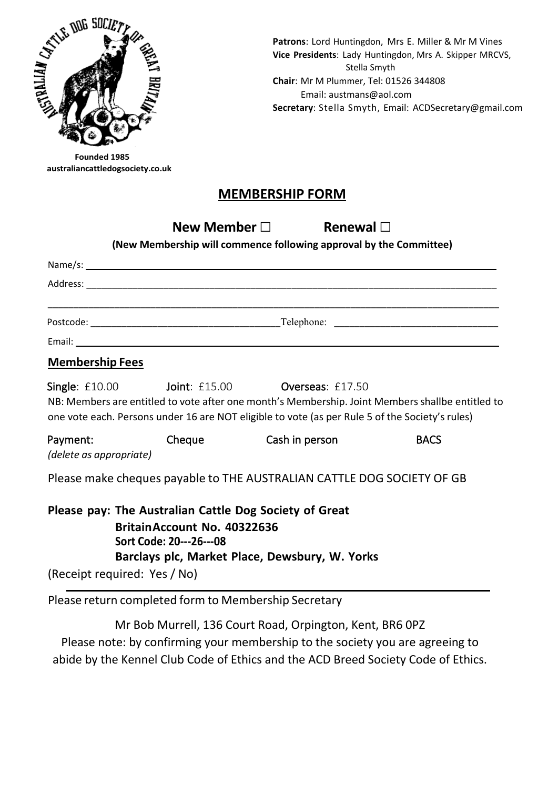

**Patrons**: Lord Huntingdon, Mrs E. Miller & Mr M Vines **Vice Presidents**: Lady Huntingdon, Mrs A. Skipper MRCVS, Stella Smyth **Chair**: Mr M Plummer, Tel: 01526 344808 Email: austmans@aol.com **Secretary**: Stella Smyth, Email: [ACDSecretary@gmail.com](mailto:ACDSecretary@gmail.com)

**Founded 1985 australiancattledogsociety.co.uk**

### **MEMBERSHIP FORM**

**New Member□ Renewal □**

**(New Membership will commence following approval by the Committee)**

|                        | Postcode: Telephone: Telephone: Telephone: Telephone: Telephone: Telephone: Telephone: Telephone: Telephone: Telephone: Telephone: Telephone: Telephone: Telephone: Telephone: Telephone: Telephone: Telephone: Telephone: Tel |  |
|------------------------|--------------------------------------------------------------------------------------------------------------------------------------------------------------------------------------------------------------------------------|--|
|                        |                                                                                                                                                                                                                                |  |
| <b>Membership Fees</b> |                                                                                                                                                                                                                                |  |

Single: £10.00 Joint: £15.00 Overseas: £17.50 NB: Members are entitled to vote after one month's Membership. Joint Members shallbe entitled to one vote each. Persons under 16 are NOT eligible to vote (as per Rule 5 of the Society's rules)

Payment: Cheque Cash in person BACS *(delete as appropriate)*

Please make cheques payable to THE AUSTRALIAN CATTLE DOG SOCIETY OF GB

| Please pay: The Australian Cattle Dog Society of Great |
|--------------------------------------------------------|
| Britain Account No. 40322636                           |
| Sort Code: 20---26---08                                |
| Barclays plc, Market Place, Dewsbury, W. Yorks         |
| (Receipt required: Yes / No)                           |

Please return completed form to Membership Secretary

Mr Bob Murrell, 136 Court Road, Orpington, Kent, BR6 0PZ Please note: by confirming your membership to the society you are agreeing to abide by the Kennel Club Code of Ethics and the ACD Breed Society Code of Ethics.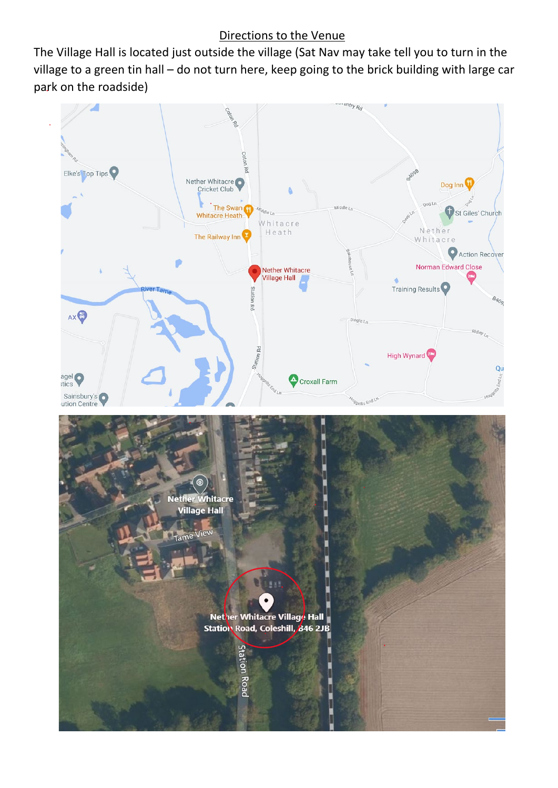#### Directions to the Venue

The Village Hall is located just outside the village (Sat Nav may take tell you to turn in the village to a green tin hall – do not turn here, keep going to the brick building with large car park on the roadside)